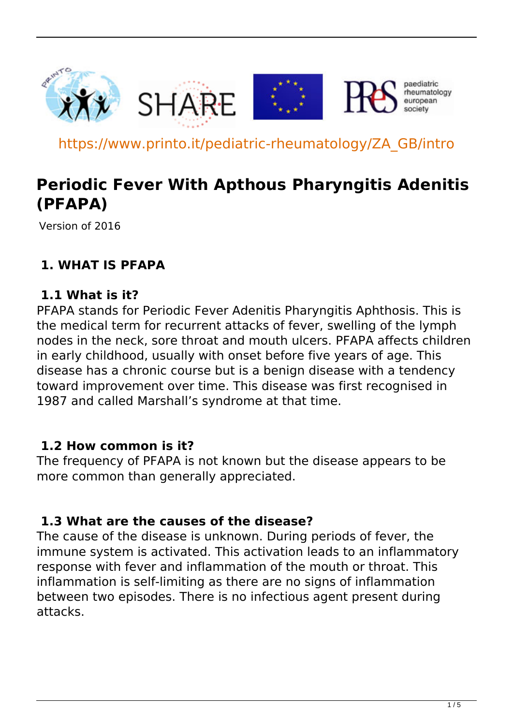

https://www.printo.it/pediatric-rheumatology/ZA\_GB/intro

# **Periodic Fever With Apthous Pharyngitis Adenitis (PFAPA)**

Version of 2016

#### **1. WHAT IS PFAPA**

#### **1.1 What is it?**

PFAPA stands for Periodic Fever Adenitis Pharyngitis Aphthosis. This is the medical term for recurrent attacks of fever, swelling of the lymph nodes in the neck, sore throat and mouth ulcers. PFAPA affects children in early childhood, usually with onset before five years of age. This disease has a chronic course but is a benign disease with a tendency toward improvement over time. This disease was first recognised in 1987 and called Marshall's syndrome at that time.

#### **1.2 How common is it?**

The frequency of PFAPA is not known but the disease appears to be more common than generally appreciated.

#### **1.3 What are the causes of the disease?**

The cause of the disease is unknown. During periods of fever, the immune system is activated. This activation leads to an inflammatory response with fever and inflammation of the mouth or throat. This inflammation is self-limiting as there are no signs of inflammation between two episodes. There is no infectious agent present during attacks.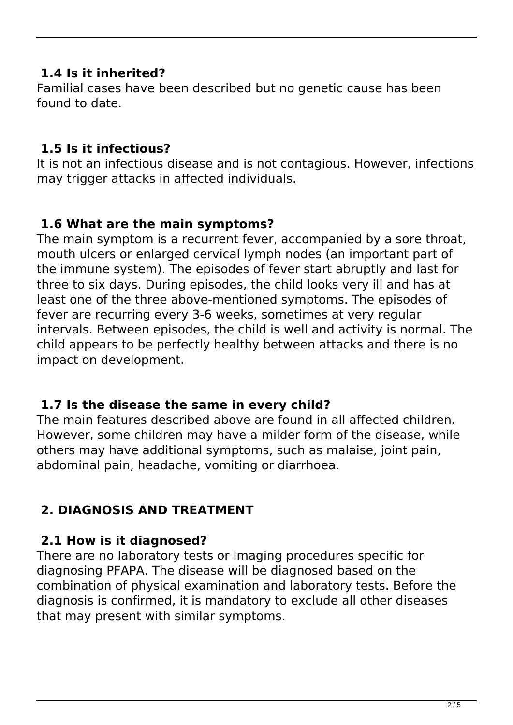#### **1.4 Is it inherited?**

Familial cases have been described but no genetic cause has been found to date.

#### **1.5 Is it infectious?**

It is not an infectious disease and is not contagious. However, infections may trigger attacks in affected individuals.

#### **1.6 What are the main symptoms?**

The main symptom is a recurrent fever, accompanied by a sore throat, mouth ulcers or enlarged cervical lymph nodes (an important part of the immune system). The episodes of fever start abruptly and last for three to six days. During episodes, the child looks very ill and has at least one of the three above-mentioned symptoms. The episodes of fever are recurring every 3-6 weeks, sometimes at very regular intervals. Between episodes, the child is well and activity is normal. The child appears to be perfectly healthy between attacks and there is no impact on development.

#### **1.7 Is the disease the same in every child?**

The main features described above are found in all affected children. However, some children may have a milder form of the disease, while others may have additional symptoms, such as malaise, joint pain, abdominal pain, headache, vomiting or diarrhoea.

# **2. DIAGNOSIS AND TREATMENT**

#### **2.1 How is it diagnosed?**

There are no laboratory tests or imaging procedures specific for diagnosing PFAPA. The disease will be diagnosed based on the combination of physical examination and laboratory tests. Before the diagnosis is confirmed, it is mandatory to exclude all other diseases that may present with similar symptoms.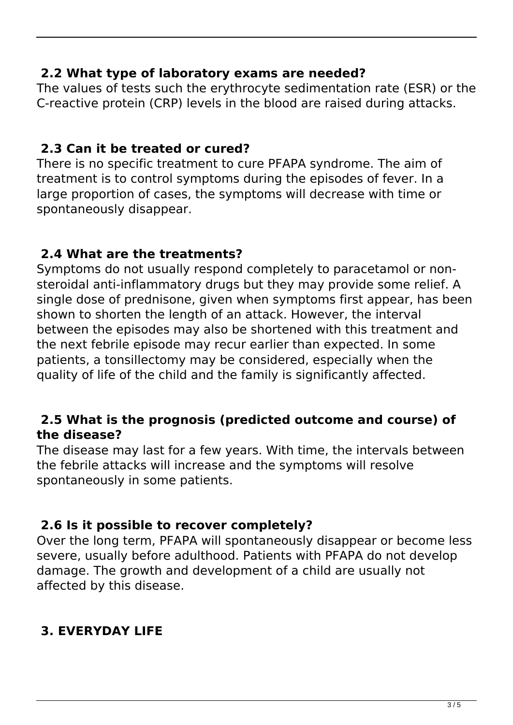#### **2.2 What type of laboratory exams are needed?**

The values of tests such the erythrocyte sedimentation rate (ESR) or the C-reactive protein (CRP) levels in the blood are raised during attacks.

#### **2.3 Can it be treated or cured?**

There is no specific treatment to cure PFAPA syndrome. The aim of treatment is to control symptoms during the episodes of fever. In a large proportion of cases, the symptoms will decrease with time or spontaneously disappear.

#### **2.4 What are the treatments?**

Symptoms do not usually respond completely to paracetamol or nonsteroidal anti-inflammatory drugs but they may provide some relief. A single dose of prednisone, given when symptoms first appear, has been shown to shorten the length of an attack. However, the interval between the episodes may also be shortened with this treatment and the next febrile episode may recur earlier than expected. In some patients, a tonsillectomy may be considered, especially when the quality of life of the child and the family is significantly affected.

#### **2.5 What is the prognosis (predicted outcome and course) of the disease?**

The disease may last for a few years. With time, the intervals between the febrile attacks will increase and the symptoms will resolve spontaneously in some patients.

#### **2.6 Is it possible to recover completely?**

Over the long term, PFAPA will spontaneously disappear or become less severe, usually before adulthood. Patients with PFAPA do not develop damage. The growth and development of a child are usually not affected by this disease.

# **3. EVERYDAY LIFE**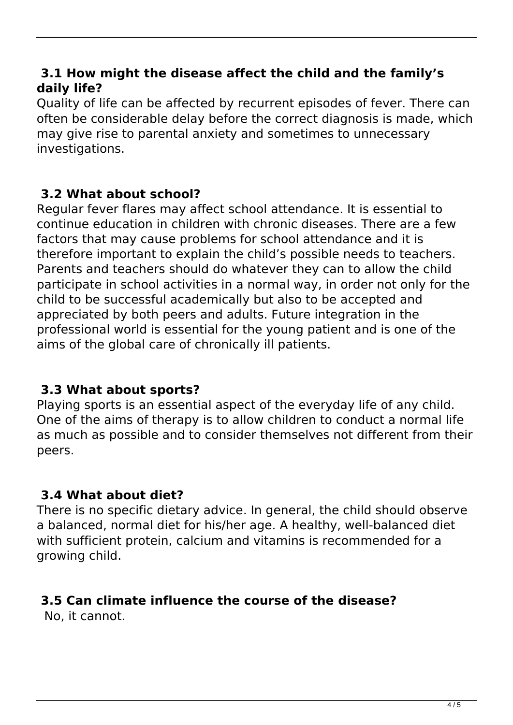#### **3.1 How might the disease affect the child and the family's daily life?**

Quality of life can be affected by recurrent episodes of fever. There can often be considerable delay before the correct diagnosis is made, which may give rise to parental anxiety and sometimes to unnecessary investigations.

## **3.2 What about school?**

Regular fever flares may affect school attendance. It is essential to continue education in children with chronic diseases. There are a few factors that may cause problems for school attendance and it is therefore important to explain the child's possible needs to teachers. Parents and teachers should do whatever they can to allow the child participate in school activities in a normal way, in order not only for the child to be successful academically but also to be accepted and appreciated by both peers and adults. Future integration in the professional world is essential for the young patient and is one of the aims of the global care of chronically ill patients.

## **3.3 What about sports?**

Playing sports is an essential aspect of the everyday life of any child. One of the aims of therapy is to allow children to conduct a normal life as much as possible and to consider themselves not different from their peers.

## **3.4 What about diet?**

There is no specific dietary advice. In general, the child should observe a balanced, normal diet for his/her age. A healthy, well-balanced diet with sufficient protein, calcium and vitamins is recommended for a growing child.

## **3.5 Can climate influence the course of the disease?**

No, it cannot.